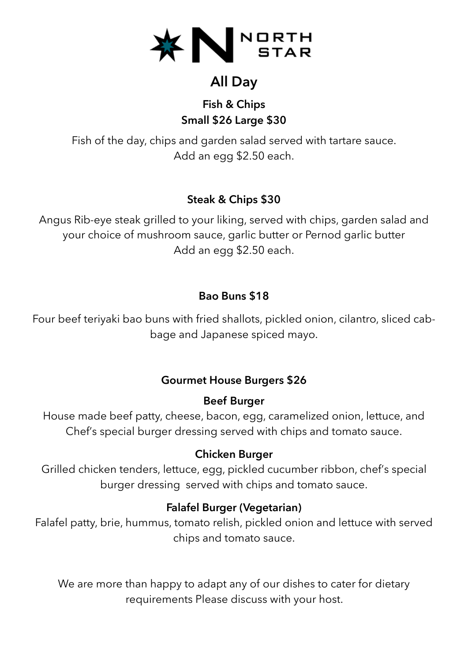

# **All Day**

## **Fish & Chips Small \$26 Large \$30**

Fish of the day, chips and garden salad served with tartare sauce. Add an egg \$2.50 each.

## **Steak & Chips \$30**

Angus Rib-eye steak grilled to your liking, served with chips, garden salad and your choice of mushroom sauce, garlic butter or Pernod garlic butter Add an egg \$2.50 each.

#### **Bao Buns \$18**

Four beef teriyaki bao buns with fried shallots, pickled onion, cilantro, sliced cabbage and Japanese spiced mayo.

## **Gourmet House Burgers \$26**

#### **Beef Burger**

House made beef patty, cheese, bacon, egg, caramelized onion, lettuce, and Chef's special burger dressing served with chips and tomato sauce.

#### **Chicken Burger**

Grilled chicken tenders, lettuce, egg, pickled cucumber ribbon, chef's special burger dressing served with chips and tomato sauce.

## **Falafel Burger (Vegetarian)**

Falafel patty, brie, hummus, tomato relish, pickled onion and lettuce with served chips and tomato sauce.

We are more than happy to adapt any of our dishes to cater for dietary requirements Please discuss with your host.